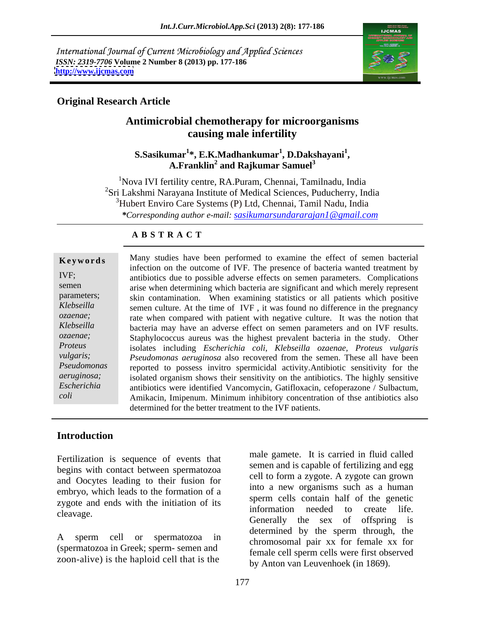International Journal of Current Microbiology and Applied Sciences *ISSN: 2319-7706* **Volume 2 Number 8 (2013) pp. 177-186 <http://www.ijcmas.com>**



## **Original Research Article**

## **Antimicrobial chemotherapy for microorganisms causing male infertility**

### **S.Sasikumar<sup>1</sup> \*, E.K.Madhankumar<sup>1</sup> , D.Dakshayani<sup>1</sup>** mar<sup>1</sup>\*, E.K.Madhankumar<sup>1</sup>, D.Dakshayani<sup>1</sup>,<br>A.Franklin<sup>2</sup> and Rajkumar Samuel<sup>3</sup>  **and Rajkumar Samuel<sup>3</sup>**

<sup>1</sup>Nova IVI fertility centre, RA.Puram, Chennai, Tamilnadu, India <sup>2</sup>Sri Lakshmi Narayana Institute of Medical Sciences, Puducherry, India <sup>3</sup>Hubert Enviro Care Systems (P) Ltd, Chennai, Tamil Nadu, India *\*Corresponding author e-mail: sasikumarsundararajan1@gmail.com*

## **A B S T R A C T**

**Keywords** Many studies have been performed to examine the effect of semen bacterial IVF; antibiotics due to possible adverse effects on semen parameters. Complications semen arise when determining which bacteria are significant and which merely represent parameters; skin contamination. When examining statistics or all patients which positive *Klebseilla*  semen culture. At the time of IVF , it was found no difference in the pregnancy *ozaenae;* rate when compared with patient with negative culture. It was the notion that *Klebseilla*  bacteria may have an adverse effect on semen parameters and on IVF results. *ozaenae;* Staphylococcus aureus was the highest prevalent bacteria in the study. Other *Proteus*  isolates including *Escherichia coli*, *Klebseilla ozaenae, Proteus vulgaris vulgaris; Pseudomonas aeruginosa* also recovered from the semen. These all have been *Pseudomonas*  reported to possess invitro spermicidal activity.Antibiotic sensitivity for the *aeruginosa*; isolated organism shows their sensitivity on the antibiotics. The highly sensitive *Escherichia*  antibiotics were identified Vancomycin, Gatifloxacin, cefoperazone / Sulbactum, *coli* Amikacin, Imipenum. Minimum inhibitory concentration of thse antibiotics also infection on the outcome of IVF. The presence of bacteria wanted treatment by determined for the better treatment to the IVF patients.

## **Introduction**

Fertilization is sequence of events that begins with contact between spermatozoa and Oocytes leading to their fusion for embryo, which leads to the formation of a zygote and ends with the initiation of its<br>information eneded to create life.

(spermatozoa in Greek; sperm- semen and zoon-alive) is the haploid cell that is the

cleavage. The contraction is the contraction of the clear of the clear the clear of the clear of the clear of the clear of the clear of the clear of the clear of the clear of the clear of the clear of the clear of the clea A sperm cell or spermatozoa in a component point we for family we for male gamete. It is carried in fluid called semen and is capable of fertilizing and egg cell to form a zygote. A zygote can grown into a new organisms such as a human sperm cells contain half of the genetic information needed to Generally the sex of offspring is determined by the sperm through, the chromosomal pair xx for female xx for female cell sperm cells were first observed by Anton van Leuvenhoek (in 1869).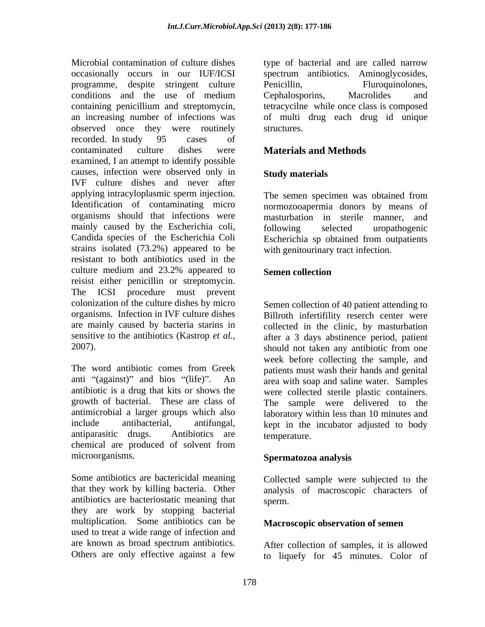Microbial contamination of culture dishes type of bacterial and are called narrow occasionally occurs in our IUF/ICSI spectrum antibiotics. Aminoglycosides, programme, despite stringent culture conditions and the use of medium containing penicillium and streptomycin, tetracycilne while once class is composed an increasing number of infections was of multi drug each drug id unique observed once they were routinely recorded. In study 95 cases of contaminated culture dishes were **Materials and Methods** examined, I an attempt to identify possible causes, infection were observed only in Study materials IVF culture dishes and never after applying intracyloplasmic sperm injection. The semen specimen was obtained from Identification of contaminating micro organisms should that infections were masturbation in sterile manner, and mainly caused by the Escherichia coli, following selected uropathogenic Candida species of the Escherichia Coli Escherichia sp obtained from outpatients strains isolated (73.2%) appeared to be resistant to both antibiotics used in the culture medium and 23.2% appeared to Semen collection reisist either penicillin or streptomycin. The ICSI procedure must prevent colonization of the culture dishes by micro Semen collection of 40 patient attending to organisms. Infection in IVF culture dishes are mainly caused by bacteria starins in collected in the clinic, by masturbation sensitive to the antibiotics (Kastrop *et al.*, after a 3 days abstinence period, patient 2007). Should not taken any antibiotic from one

The word antibiotic comes from Greek patients must wash their hands and genital anti "(against)" and bios "(life)". An area with soap and saline water. Samples antibiotic is a drug that kits or shows the were collected sterile plastic containers. growth of bacterial. These are class of antimicrobial a larger groups which also laboratory within less than 10 minutes and include antibacterial, antifungal, kept in the incubator adjusted to body antiparasitic drugs. Antibiotics are temperature. chemical are produced of solvent from microorganisms. **Spermatozoa analysis**

Some antibiotics are bactericidal meaning Collected sample were subjected to the that they work by killing bacteria. Other analysis of macroscopic characters of antibiotics are bacteriostatic meaning that they are work by stopping bacterial multiplication. Some antibiotics can be used to treat a wide range of infection and are known as broad spectrum antibiotics. After collection of samples, it is allowed

Penicillin, Fluroquinolones, Cephalosporins, Macrolides and structures.

## **Materials and Methods**

## **Study materials**

The semen specimen was obtained from normozooapermia donors by means of following selected uropathogenic with genitourinary tract infection.

## **Semen collection**

Billroth infertifility reserch center were should not taken any antibiotic from one week before collecting the sample, and The sample were delivered to the temperature.

sperm.

## **Macroscopic observation of semen**

Others are only effective against a few to liquefy for 45 minutes. Color of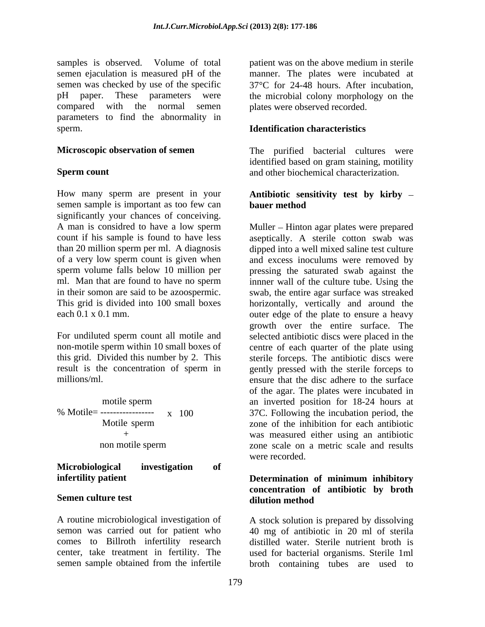samples is observed. Volume of total patient was on the above medium in sterile semen ejaculation is measured pH of the manner. The plates were incubated at semen was checked by use of the specific  $37^{\circ}$ C for 24-48 hours. After incubation, pH paper. These parameters were the microbial colony morphology on the compared with the normal semen plates were observed recorded. parameters to find the abnormality in sperm. **Identification characteristics**

How many sperm are present in your **Antibiotic sensitivity test by kirby** semen sample is important as too few can **bauer method** significantly your chances of conceiving. A man is considred to have a low sperm Muller – Hinton agar plates were prepared

|  | motile sperm     |           |
|--|------------------|-----------|
|  |                  | $x = 100$ |
|  | Motile sperm     |           |
|  | $^+$             |           |
|  | non motile sperm |           |

**Microbiological investigation of infertility patient infertility patient infertility patient infertility infertility infertility infertility infertility infertility infertility infertility inferred inferred inferred inferred** 

A routine microbiological investigation of

**Microscopic observation of semen** The purified bacterial cultures were **Sperm count** and other biochemical characterization. identified based on gram staining, motility

# **bauer method**

count if his sample is found to have less aseptically. A sterile cotton swab was than 20 million sperm per ml. A diagnosis dipped into a well mixed saline test culture of a very low sperm count is given when and excess inoculums were removed by sperm volume falls below 10 million per pressing the saturated swab against the ml. Man that are found to have no sperm innner wall of the culture tube. Using the in their somon are said to be azoospermic. swab, the entire agar surface was streaked This grid is divided into 100 small boxes horizontally, vertically and around the each 0.1 x 0.1 mm. outer edge of the plate to ensure a heavy For undiluted sperm count all motile and selected antibiotic discs were placed in the non-motile sperm within 10 small boxes of centre of each quarter of the plate using this grid. Divided this number by 2. This sterile forceps. The antibiotic discs were result is the concentration of sperm in gently pressed with the sterile forceps to millions/ml. ensure that the disc adhere to the surface motile sperm an inverted position for 18-24 hours at % Motile= ----------------- x 100 37C. Following the incubation period, the Motile sperm zone of the inhibition for each antibiotic + was measured either using an antibiotic non motile sperm some scale on a metric scale and results growth over the entire surface. The of the agar. The plates were incubated in zone scale on a metric scale and results were recorded.

## **Semen culture test and interval in the distribution method Determination of minimum inhibitory concentration of antibiotic by broth dilution method**

semon was carried out for patient who 40 mg of antibiotic in 20 ml of sterila comes to Billroth infertility research distilled water. Sterile nutrient broth is center, take treatment in fertility. The used for bacterial organisms. Sterile 1ml semen sample obtained from the infertile broth containing tubes are used to A stock solution is prepared by dissolving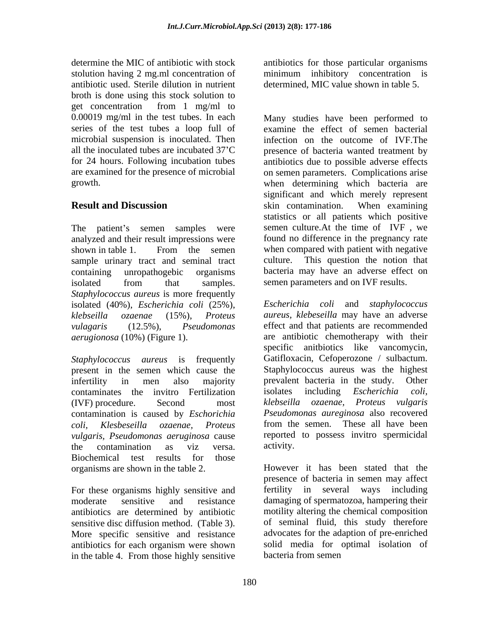determine the MIC of antibiotic with stock antibiotics for those particular organisms stolution having 2 mg.ml concentration of minimum inhibitory concentration is antibiotic used. Sterile dilution in nutrient broth is done using this stock solution to get concentration from 1 mg/ml to are examined for the presence of microbial

The patient's semen samples were analyzed and their result impressions were sample urinary tract and seminal tract culture. isolated from that samples. semen-parameters and on IVF results. *Staphylococcus aureus* is more frequently isolated (40%), *Escherichia coli* (25%),

present in the semen which cause the contaminates the invitro Fertilization isolates including Escherichia coli, contamination is caused by *Eschorichia coli, Klesbeseilla ozaenae, Proteus*  the contamination as viz versa. Biochemical test results for those organisms are shown in the table 2.

For these organisms highly sensitive and fertility in several ways including antibiotics are determined by antibiotic sensitive disc diffusion method. (Table 3). More specific sensitive and resistance antibiotics for each organism were shown in the table 4. From those highly sensitive

determined, MIC value shown in table 5.

0.00019 mg/ml in the test tubes. In each Many studies have been performed to series of the test tubes a loop full of examine the effect of semen bacterial microbial suspension is inoculated. Then infection on the outcome of IVF.The all the inoculated tubes are incubated 37 C presence of bacteria wanted treatment by for 24 hours. Following incubation tubes antibiotics due to possible adverse effects growth. when determining which bacteria are **Result and Discussion Result and Discussion Result and Discussion Result and Discussion Result and Discussion** shown in table 1. From the semen when compared with patient with negative containing unropathogebic organisms bacteria may have an adverse effect on on semen parameters. Complications arise significant and which merely represent skin contamination. When examining statistics or all patients which positive semen culture.At the time of IVF , we found no difference in the pregnancy rate when compared with patient with negative This question the notion that semen parameters and on IVF results.

*klebseilla ozaenae* (15%), *Proteus aureus, klebeseilla* may have an adverse *vulagaris* (12.5%), *Pseudomonas*  effect and that patients are recommended *aerugionosa* (10%) (Figure 1). are antibiotic chemotherapy with their *Staphylococcus aureus* is frequently Gatifloxacin, Cefoperozone / sulbactum. infertility in men also majority bit prevalent bacteria in the study. Other (IVF) procedure. Second most klebseilla ozaenae, Proteus vulgaris *vulgaris, Pseudomonas aeruginosa* cause reported to possess invitro spermicidal *Escherichia coli* and *staphylococcus*  specific anitbiotics like vancomycin, Staphylococcus aureus was the highest prevalent bacteria in the study. Other isolates including *Escherichia klebseilla ozaenae, Proteus vulgaris Pseudomonas aureginosa* also recovered from the semen. These all have been activity.

moderate sensitive and resistance damaging of spermatozoa, hampering their However it has been stated that the presence of bacteria in semen may affect fertility in several ways including motility altering the chemical composition of seminal fluid, this study therefore advocates for the adaption of pre-enriched solid media for optimal isolation of bacteria from semen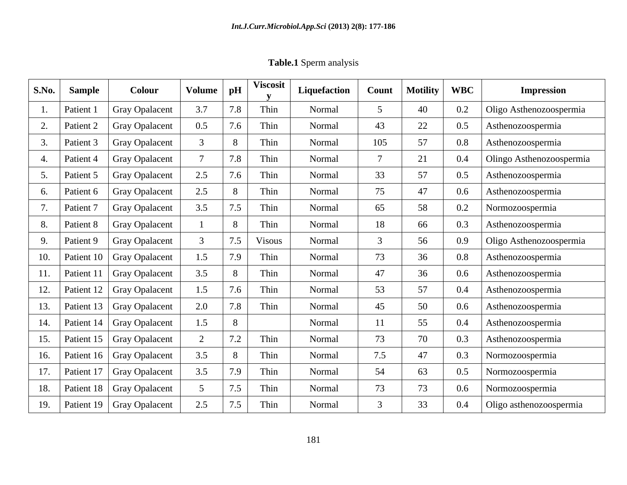**Table.1** Sperm analysis

| S.No. | <b>Sample</b> | Colour                      | <b>Volume</b> | pH             | <b>Viscosit</b> | Liquefaction | <b>Count</b>    | Motility | <b>WBC</b> | <b>Impression</b>        |
|-------|---------------|-----------------------------|---------------|----------------|-----------------|--------------|-----------------|----------|------------|--------------------------|
|       | Patient       | <b>Gray Opalacent</b>       | 3.7           |                | Thin            | Normal       |                 | 40       | 0.2        | Oligo Asthenozoospermia  |
|       | Patient 2     | <b>Gray Opalacent</b>       | 0.5           |                | Thin            | Normal       | 43              | 22       | 0.5        | Asthenozoospermia        |
|       | Patient 3     | <b>Gray Opalacent</b>       |               |                | Thin            | Normal       | 105             | 57       | 0.8        | Asthenozoospermia        |
|       | Patient 4     | <b>Gray Opalacent</b>       |               | 7.8            | Thin            | Normal       | $7\overline{ }$ | 21       | 0.4        | Olingo Asthenozoospermia |
|       | Patient 5     | <b>Gray Opalacent</b>       | 2.5           |                | Thin            | Normal       | 33              | 57       | 0.5        | Asthenozoospermia        |
|       | Patient 6     | <b>Gray Opalacent</b>       | 2.5           |                | Thin            | Normal       | 75              | 47       | $0.6\,$    | Asthenozoospermia        |
|       | Patient 7     | <b>Gray Opalacent</b>       | 3.5           | 7.5            | Thin            | Normal       | 65              | 58       | $0.2\,$    | Normozoospermia          |
|       | Patient 8     | <b>Gray Opalacent</b>       |               |                | Thin            | Normal       | 18              | 66       | 0.3        | Asthenozoospermia        |
|       | Patient 9     | <b>Gray Opalacent</b>       |               | 75             | Visous          | Normal       |                 | 56       | 0.9        | Oligo Asthenozoospermia  |
|       | Patient       | Gray Opalacent              | 1.5           | 7.9            | Thin            | Normal       | 73              | 36       | $0.8\,$    | Asthenozoospermia        |
|       | Patient 11    | Gray Opalacent              | 3.5           |                | Thin            | Normal       | 47              | 36       | $0.6\,$    | Asthenozoospermia        |
| 12.   | Patient 12    | <b>Gray Opalacent</b>       | 1.5           | 7.6            | Thin            | Normal       | 53              | 57       | $0.4\,$    | Asthenozoospermia        |
|       | Patient 13    | Gray Opalacent              | 2.0           | 7.8            | Thin            | Normal       | 45              | 50       | $0.6\,$    | Asthenozoospermia        |
|       |               | Patient 14   Gray Opalacent | 1.5           |                |                 | Normal       | 11              | 55       | $0.4\,$    | Asthenozoospermia        |
| 15.   | Patient 15    | <b>Gray Opalacent</b>       |               | 7 <sub>2</sub> | Thin            | Normal       | 73              | 70       | 0.3        | Asthenozoospermia        |
| 16.   |               | Patient 16   Gray Opalacent | 3.5           |                | Thin            | Normal       | 7.5             | 47       | 0.3        | Normozoospermia          |
|       | Patient 17    | Gray Opalacent              | 3.5           | 7.9            | Thin            | Normal       | 54              | 63       | $0.5\,$    | Normozoospermia          |
| 18.   | Patient 18    | Gray Opalacent              |               | 7 <sup>5</sup> | Thin            | Normal       | 73              | 73       | $0.6\,$    | Normozoospermia          |
| 19    |               | Patient 19   Gray Opalacent | 2.5           | 7.5            | Thin            | Normal       |                 | 33       | $0.4\,$    | Oligo asthenozoospermia  |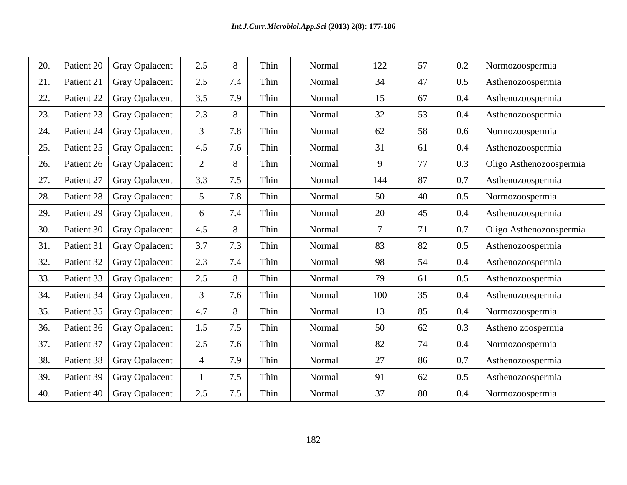| 20. |            | Patient 20   Gray Opalacent | 2.5            | 8   | Thin | Normal | 122         | 57 | 0.2 | Normozoospermia         |
|-----|------------|-----------------------------|----------------|-----|------|--------|-------------|----|-----|-------------------------|
| 21. | Patient 21 | Gray Opalacent              | 2.5            | 7.4 | Thin | Normal | 34          | 47 | 0.5 | Asthenozoospermia       |
| 22. |            | Patient 22   Gray Opalacent | 3.5            | 7.9 | Thin | Normal | 15          | 67 | 0.4 | Asthenozoospermia       |
| 23. | Patient 23 | Gray Opalacent              | 2.3            | 8   | Thin | Normal | 32          | 53 | 0.4 | Asthenozoospermia       |
| 24. |            | Patient 24   Gray Opalacent | $\mathcal{R}$  | 7.8 | Thin | Normal | 62          | 58 | 0.6 | Normozoospermia         |
| 25. | Patient 25 | Gray Opalacent              | 4.5            | 7.6 | Thin | Normal | 31          | 61 | 0.4 | Asthenozoospermia       |
| 26. |            | Patient 26   Gray Opalacent | 2              | 8   | Thin | Normal | $\mathbf Q$ | 77 | 0.3 | Oligo Asthenozoospermia |
|     | Patient 27 | Gray Opalacent              | 3.3            | 7.5 | Thin | Normal | 144         | 87 | 0.7 | Asthenozoospermia       |
| 28. | Patient 28 | <b>Gray Opalacent</b>       | $\overline{5}$ | 7.8 | Thin | Normal | 50          | 40 | 0.5 | Normozoospermia         |
| 29. | Patient 29 | Gray Opalacent              | 6              | 7.4 | Thin | Normal | 20          | 45 | 0.4 | Asthenozoospermia       |
|     | Patient 30 | <b>Gray Opalacent</b>       | 4.5            | 8   | Thin | Normal |             | 71 | 0.7 | Oligo Asthenozoospermia |
|     | Patient 31 | Gray Opalacent              | 3.7            | 7.3 | Thin | Normal | 83          | 82 | 0.5 | Asthenozoospermia       |
| 32. | Patient 32 | Gray Opalacent              | 2.3            | 7.4 | Thin | Normal | 98          | 54 | 0.4 | Asthenozoospermia       |
|     | Patient 33 | Gray Opalacent              | 2.5            | 8   | Thin | Normal | 79          | 61 | 0.5 | Asthenozoospermia       |
|     | Patient 34 | Gray Opalacent              |                | 7.6 | Thin | Normal | 100         | 35 | 0.4 | Asthenozoospermia       |
|     |            | Patient 35   Gray Opalacent | 4.7            | 8   | Thin | Normal | 13          | 85 | 0.4 | Normozoospermia         |
| 36. |            | Patient 36   Gray Opalacent | 1.5            | 7.5 | Thin | Normal | 50          | 62 | 0.3 | Astheno zoospermia      |
|     | Patient 37 | Gray Opalacent              | 2.5            | 7.6 | Thin | Normal | 82          | 74 | 0.4 | Normozoospermia         |
| 38. |            | Patient 38   Gray Opalacent |                | 7.9 | Thin | Normal | 27          | 86 | 0.7 | Asthenozoospermia       |
| 39. |            | Patient 39   Gray Opalacent |                | 7.5 | Thin | Normal | 91          | 62 | 0.5 | Asthenozoospermia       |
| 40. |            | Patient 40   Gray Opalacent | 2.5            | 7.5 | Thin | Normal | 37          | 80 | 0.4 | Normozoospermia         |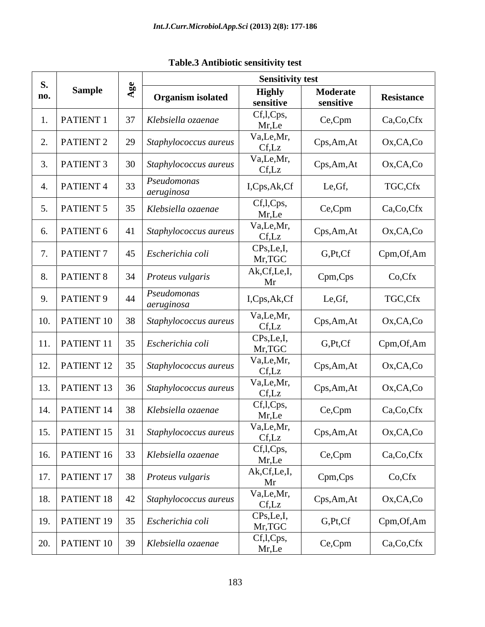| <b>S.</b> |                                    |            |                                               | <b>Sensitivity test</b>     |                       |            |
|-----------|------------------------------------|------------|-----------------------------------------------|-----------------------------|-----------------------|------------|
| no.       | <b>Sample</b>                      |            | <b>Organism isolated</b>                      | <b>Highly</b><br>sensitive  | Moderate<br>sensitive | Resistance |
|           | $1.$ PATIENT 1                     |            | Klebsiella ozaenae                            | Cf,l,Cps,<br>Mr,Le          | Ce,Cpm                | Ca,Co,Cfx  |
|           | 2.   PATIENT 2                     | 29         | Staphylococcus aureus                         | Va,Le,Mr,<br>Cf,Lz          | Cps,Am,At             | Ox,CA,Co   |
|           | PATIENT 3                          | $\vert$ 30 | Staphylococcus aureus                         | Va,Le,Mr,<br>Cf,Lz          | Cps,Am,At             | Ox,CA,Co   |
|           | $\overline{\phantom{a}}$ PATIENT 4 |            | Pseudomonas<br>aeruginosa                     | I,Cps,Ak,Cf                 | Le, Gf,               | TGC,Cfx    |
|           | PATIENT 5                          |            | Klebsiella ozaenae                            | Cf,l,Cps,<br>Mr,Le          | Ce,Cpm                | Ca,Co,Cfx  |
|           | 6. PATIENT 6                       |            | Staphylococcus aureus                         | Va,Le,Mr,<br>Cf,Lz          | Cps,Am,At             | Ox,CA,Co   |
|           | 7.   PATIENT $7$                   |            | $\vert$ 45 <i>Escherichia coli</i>            | CPs, Le, I,<br>Mr,TGC       | G,Pt,Cf               | Cpm,Of,Am  |
|           |                                    |            | 8.   PATIENT 8   34   Proteus vulgaris        | Ak, Cf, Le, I,<br>Mr        | Cpm,Cps               | Co,Cfx     |
|           | 9. $PATIENT 9$                     | 44         | Pseudomonas<br>aeruginosa                     | I,Cps,Ak,Cf                 | Le, Gf,               | TGC,Cfx    |
|           |                                    |            | 10.   PATIENT 10   38   Staphylococcus aureus | Va,Le,Mr,<br>Cf,Lz          | Cps,Am,At             | Ox,CA,Co   |
|           |                                    |            | 11.   PATIENT 11   35   Escherichia coli      | CPs,Le,I,<br>Mr,TGC         | G,Pt,Cf               | Cpm,Of,Am  |
|           | 12.   PATIENT 12                   |            | 35 Staphylococcus aureus                      | Va,Le,Mr,<br>Cf,Lz          | Cps,Am,At             | Ox,CA,Co   |
|           |                                    |            | 13.   PATIENT 13   36   Staphylococcus aureus | Va,Le,Mr,<br>Cf,Lz          | Cps,Am,At             | Ox,CA,Co   |
|           |                                    |            | 14.   PATIENT 14   38   Klebsiella ozaenae    | Cf,l,Cps,<br>Mr,Le          | Ce,Cpm                | Ca,Co,Cfx  |
|           |                                    |            | 15.   PATIENT 15   31   Staphylococcus aureus | $Va, Le, Mr, \Box$<br>Cf,Lz | Cps,Am,At             | Ox,CA,Co   |
|           |                                    |            | 16.   PATIENT 16   33   Klebsiella ozaenae    | Cf, l, Cps,<br>Mr, Le       | Ce,Cpm                | Ca,Co,Cfx  |
|           |                                    |            | 17.   PATIENT 17   38   Proteus vulgaris      | Ak,Cf,Le,I,<br>Mr           | Cpm,Cps               | Co,Cfx     |
|           |                                    |            | 18.   PATIENT 18   42   Staphylococcus aureus | Va,Le,Mr,<br>Cf,Lz          | Cps, Am, At           | Ox,CA,Co   |
|           |                                    |            | 19.   PATIENT 19   35   Escherichia coli      | CPs,Le,I,<br>Mr,TGC         | G,Pt,Cf               | Cpm,Of,Am  |
|           |                                    |            | 20.   PATIENT 10   39   Klebsiella ozaenae    | Cf,l,Cps,<br>Mr,Le          | Ce,Cpm                | Ca,Co,Cfx  |

# **Table.3 Antibiotic sensitivity test**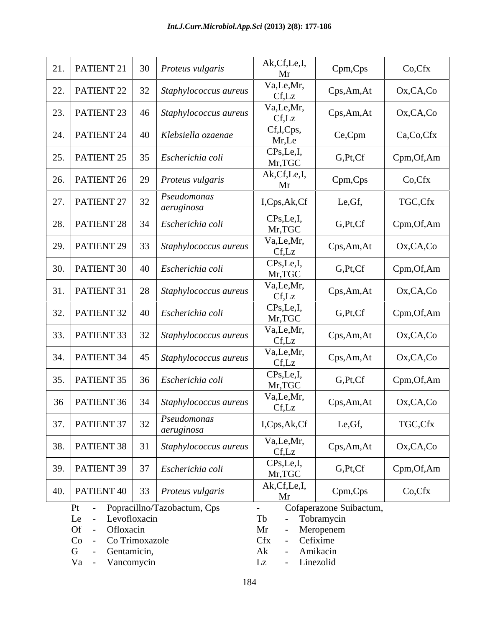| 22. |                                                               |                                                                    | Mr                                                   |                         |           |
|-----|---------------------------------------------------------------|--------------------------------------------------------------------|------------------------------------------------------|-------------------------|-----------|
|     | PATIENT 22                                                    | $32$ Staphylococcus aureus                                         | Va,Le,Mr,<br>Cf,Lz                                   | Cps,Am,At               | Ox,CA,Co  |
| 23. |                                                               | $\vert$ PATIENT 23 $\vert$ 46 $\vert$ <i>Staphylococcus aureus</i> | Va,Le,Mr,<br>Cf,Lz                                   | Cps,Am,At               | Ox,CA,Co  |
|     | 24.   PATIENT 24   40   Klebsiella ozaenae                    |                                                                    | Cf,l,Cps,<br>Mr,Le                                   | Ce,Cpm                  | Ca,Co,Cfx |
|     | 25.   PATIENT 25   35   Escherichia coli                      |                                                                    | CPs,Le,I,<br>Mr,TGC                                  | G,Pt,Cf                 | Cpm,Of,Am |
|     | 26.   PATIENT 26   29   Proteus vulgaris                      |                                                                    | Ak, Cf, Le, I,<br>Mr                                 | Cpm,Cps                 | Co,Cfx    |
| 27. | PATIENT 27                                                    | Pseudomonas<br>aeruginosa                                          | I,Cps,Ak,Cf                                          | Le, Gf,                 | TGC,Cfx   |
| 28. | PATIENT 28   34   <i>Escherichia coli</i>                     |                                                                    | CPs,Le,I,<br>Mr,TGC                                  | G,Pt,Cf                 | Cpm,Of,Am |
| 29. | PATIENT 29                                                    | 33 Staphylococcus aureus                                           | Va,Le,Mr,<br>Cf,Lz                                   | Cps, Am, At             | Ox,CA,Co  |
| 30. | <b>PATIENT 30</b> 40 <i>Escherichia coli</i>                  |                                                                    | CPs,Le,I,<br>Mr,TGC                                  | G,Pt,Cf                 | Cpm,Of,Am |
|     |                                                               | 31.   PATIENT 31   28   Staphylococcus aureus                      | Va,Le,Mr,<br>Cf,Lz                                   | Cps, Am, At             | Ox,CA,Co  |
|     | 32.   PATIENT 32   40   Escherichia coli                      |                                                                    | CPs,Le,I,<br>Mr,TGC                                  | G,Pt,Cf                 | Cpm,Of,Am |
| 33. | PATIENT 33                                                    | 32 Staphylococcus aureus                                           | Va,Le,Mr,                                            | Cps,Am,At               | Ox,CA,Co  |
|     |                                                               | 34.   PATIENT 34   45   Staphylococcus aureus                      | Cf,Lz<br>Va,Le,Mr,<br>Cf,Lz                          | Cps,Am,At               | Ox,CA,Co  |
|     | 35. PATIENT 35                                                | 36   Escherichia coli                                              | CPs,Le,I,<br>Mr,TGC                                  | G,Pt,Cf                 | Cpm,Of,Am |
| 36  |                                                               | $\vert$ PATIENT 36 $\vert$ 34 $\vert$ <i>Staphylococcus aureus</i> | Va,Le,Mr,                                            | Cps,Am,At               | Ox,CA,Co  |
|     | 37.   PATIENT 37   <br>22                                     | Pseudomonas                                                        | Cf,Lz<br>I,Cps,Ak,Cf                                 | Le, Gf,                 | TGC,Cfx   |
|     |                                                               | aeruginosa<br>38.   PATIENT 38   31   Staphylococcus aureus        | Va,Le,Mr,                                            | Cps,Am,At               | Ox,CA,Co  |
| 39. | $\vert$ PATIENT 39 $\vert$ 37 $\vert$ <i>Escherichia coli</i> |                                                                    | Cf,Lz<br>CPs,Le,I,                                   | G,Pt,Cf                 | Cpm,Of,Am |
|     | 40.   PATIENT 40   33   Proteus vulgaris                      |                                                                    | Mr,TGC<br>Ak, Cf, Le, I,                             | Cpm,Cps                 | Co,Cfx    |
|     | Pt - Popracillno/Tazobactum, Cps                              |                                                                    | Mr                                                   | Cofaperazone Suibactum, |           |
|     | Le - Levofloxacin<br>Ofloxacin<br>$Of -$                      |                                                                    | Tb<br>- Tobramycin<br>Mr                             | Meropenem               |           |
|     | Co - Co Trimoxazole<br>G - Gentamicin,<br>Va - Vancomycin     |                                                                    | Cfx<br>Cefixime<br>Amikacin<br>Ak<br>Linezolid<br>Lz |                         |           |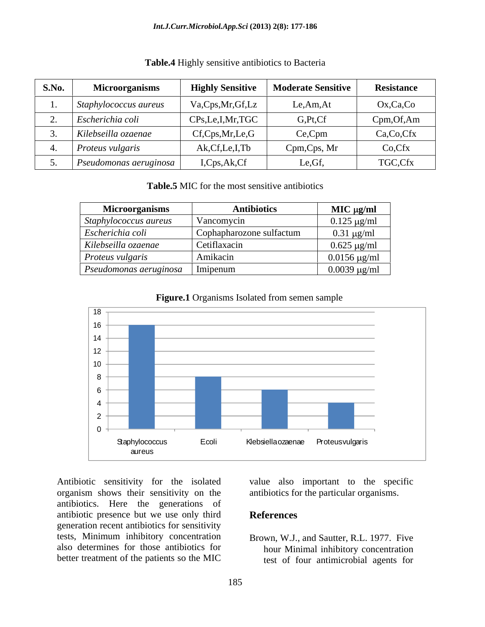| S.No. | <b>Microorganisms</b>          | <b>Highly Sensitive</b>          | <b>Moderate Sensitive</b> | <b>Resistance</b> |
|-------|--------------------------------|----------------------------------|---------------------------|-------------------|
|       | Staphylococcus aureus          | Va,Cps,Mr,Gf,Lz                  | Le,Am,At                  | Ox,Ca,Co          |
|       | Escherichia coli               | CPs,Le,I,Mr,TGC                  | G,Pt,Cf                   | Cpm, Of, Am       |
|       | Kilebseilla ozaenae            | $Cf$ , $Cps$ , $Mr$ , $Le$ , $G$ | Ce,Cpm                    | Ca,Co,Cfx         |
|       | Proteus vulgaris               | Ak, Cf, Le, I, Tb                | Cpm,Cps, Mr               | Co,Cfx            |
|       | $\vert$ Pseudomonas aeruginosa | I,Cps,Ak,Cf                      | Le, Gf,                   | TGC,Cfx           |

## **Table.4** Highly sensitive antibiotics to Bacteria

**Table.5** MIC for the most sensitive antibiotics

| <b>Microorganisms</b>                    | <b>Antibiotics</b>       | $MIC$ $\mu$ g/ml             |
|------------------------------------------|--------------------------|------------------------------|
| Staphylococcus aureus                    | Vancomycin               | $0.125 \,\mu g/ml$           |
| Escherichia coli                         | Cophapharozone sulfactum | $0.31 \mu g/ml$              |
| Kilebseilla ozaenae                      | Cetiflaxacin             | $0.625 \text{ µg/ml}$        |
| Proteus vulgaris                         | Amikacin                 | $0.0156 \,\mathrm{\mu g/ml}$ |
| <i>Pseudomonas aeruginosa</i>   Imipenum |                          | $0.0039 \mu g/ml$            |



**Figure.1** Organisms Isolated from semen sample

organism shows their sensitivity on the antibiotics. Here the generations of antibiotic presence but we use only third generation recent antibiotics for sensitivity tests, Minimum inhibitory concentration also determines for those antibiotics for

Antibiotic sensitivity for the isolated value also important to the specific antibiotics for the particular organisms.

## **References**

better treatment of the patients so the MIC test of four antimicrobial agents for Brown, W.J., and Sautter, R.L. 1977. Five hour Minimal inhibitory concentration